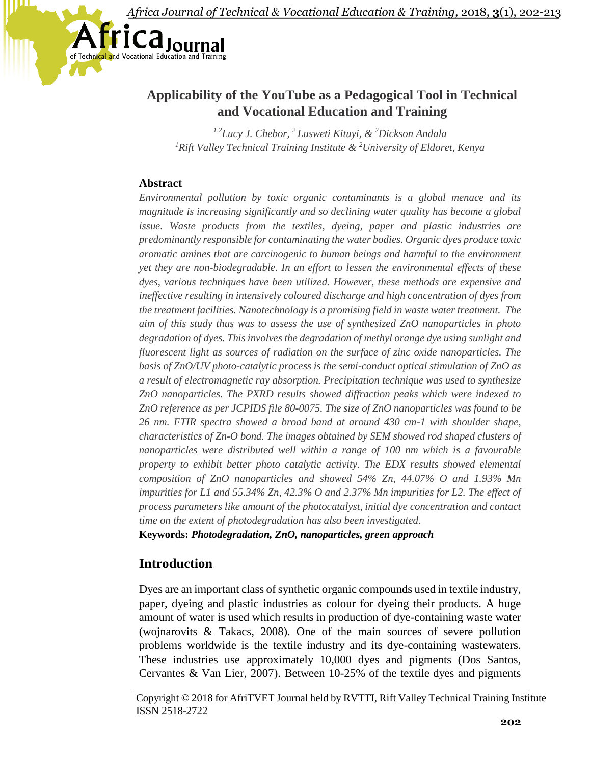

# **Applicability of the YouTube as a Pedagogical Tool in Technical and Vocational Education and Training**

*1,2Lucy J. Chebor, <sup>2</sup> Lusweti Kituyi, & <sup>2</sup>Dickson Andala <sup>1</sup>Rift Valley Technical Training Institute & <sup>2</sup>University of Eldoret, Kenya*

## **Abstract**

*Environmental pollution by toxic organic contaminants is a global menace and its magnitude is increasing significantly and so declining water quality has become a global issue. Waste products from the textiles, dyeing, paper and plastic industries are predominantly responsible for contaminating the water bodies. Organic dyes produce toxic aromatic amines that are carcinogenic to human beings and harmful to the environment yet they are non-biodegradable. In an effort to lessen the environmental effects of these dyes, various techniques have been utilized. However, these methods are expensive and ineffective resulting in intensively coloured discharge and high concentration of dyes from the treatment facilities. Nanotechnology is a promising field in waste water treatment. The aim of this study thus was to assess the use of synthesized ZnO nanoparticles in photo degradation of dyes. This involves the degradation of methyl orange dye using sunlight and fluorescent light as sources of radiation on the surface of zinc oxide nanoparticles. The basis of ZnO/UV photo-catalytic process is the semi-conduct optical stimulation of ZnO as a result of electromagnetic ray absorption. Precipitation technique was used to synthesize ZnO nanoparticles. The PXRD results showed diffraction peaks which were indexed to ZnO reference as per JCPIDS file 80-0075. The size of ZnO nanoparticles was found to be 26 nm. FTIR spectra showed a broad band at around 430 cm-1 with shoulder shape, characteristics of Zn-O bond. The images obtained by SEM showed rod shaped clusters of nanoparticles were distributed well within a range of 100 nm which is a favourable property to exhibit better photo catalytic activity. The EDX results showed elemental composition of ZnO nanoparticles and showed 54% Zn, 44.07% O and 1.93% Mn impurities for L1 and 55.34% Zn, 42.3% O and 2.37% Mn impurities for L2. The effect of process parameters like amount of the photocatalyst, initial dye concentration and contact time on the extent of photodegradation has also been investigated.*

**Keywords:** *Photodegradation, ZnO, nanoparticles, green approach*

# **Introduction**

Dyes are an important class of synthetic organic compounds used in textile industry, paper, dyeing and plastic industries as colour for dyeing their products. A huge amount of water is used which results in production of dye-containing waste water (wojnarovits & Takacs, 2008). One of the main sources of severe pollution problems worldwide is the textile industry and its dye-containing wastewaters. These industries use approximately 10,000 dyes and pigments (Dos Santos, Cervantes & Van Lier, 2007). Between 10-25% of the textile dyes and pigments

Copyright © 2018 for AfriTVET Journal held by RVTTI, Rift Valley Technical Training Institute ISSN 2518-2722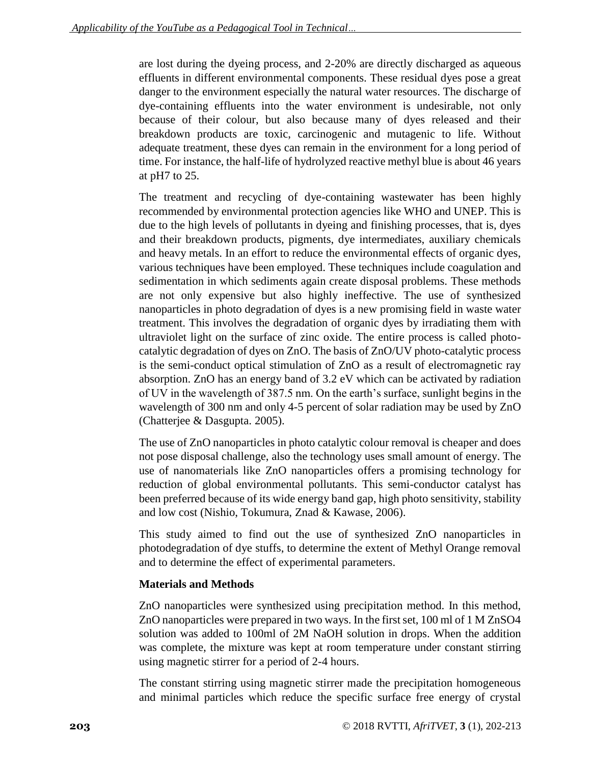are lost during the dyeing process, and 2-20% are directly discharged as aqueous effluents in different environmental components. These residual dyes pose a great danger to the environment especially the natural water resources. The discharge of dye-containing effluents into the water environment is undesirable, not only because of their colour, but also because many of dyes released and their breakdown products are toxic, carcinogenic and mutagenic to life. Without adequate treatment, these dyes can remain in the environment for a long period of time. For instance, the half-life of hydrolyzed reactive methyl blue is about 46 years at pH7 to 25.

The treatment and recycling of dye-containing wastewater has been highly recommended by environmental protection agencies like WHO and UNEP. This is due to the high levels of pollutants in dyeing and finishing processes, that is, dyes and their breakdown products, pigments, dye intermediates, auxiliary chemicals and heavy metals. In an effort to reduce the environmental effects of organic dyes, various techniques have been employed. These techniques include coagulation and sedimentation in which sediments again create disposal problems. These methods are not only expensive but also highly ineffective. The use of synthesized nanoparticles in photo degradation of dyes is a new promising field in waste water treatment. This involves the degradation of organic dyes by irradiating them with ultraviolet light on the surface of zinc oxide. The entire process is called photocatalytic degradation of dyes on ZnO. The basis of ZnO/UV photo-catalytic process is the semi-conduct optical stimulation of ZnO as a result of electromagnetic ray absorption. ZnO has an energy band of 3.2 eV which can be activated by radiation of UV in the wavelength of 387.5 nm. On the earth's surface, sunlight begins in the wavelength of 300 nm and only 4-5 percent of solar radiation may be used by ZnO (Chatterjee & Dasgupta. 2005).

The use of ZnO nanoparticles in photo catalytic colour removal is cheaper and does not pose disposal challenge, also the technology uses small amount of energy. The use of nanomaterials like ZnO nanoparticles offers a promising technology for reduction of global environmental pollutants. This semi-conductor catalyst has been preferred because of its wide energy band gap, high photo sensitivity, stability and low cost (Nishio, Tokumura, Znad & Kawase, 2006).

This study aimed to find out the use of synthesized ZnO nanoparticles in photodegradation of dye stuffs, to determine the extent of Methyl Orange removal and to determine the effect of experimental parameters.

## **Materials and Methods**

ZnO nanoparticles were synthesized using precipitation method. In this method, ZnO nanoparticles were prepared in two ways. In the first set, 100 ml of 1 M ZnSO4 solution was added to 100ml of 2M NaOH solution in drops. When the addition was complete, the mixture was kept at room temperature under constant stirring using magnetic stirrer for a period of 2-4 hours.

The constant stirring using magnetic stirrer made the precipitation homogeneous and minimal particles which reduce the specific surface free energy of crystal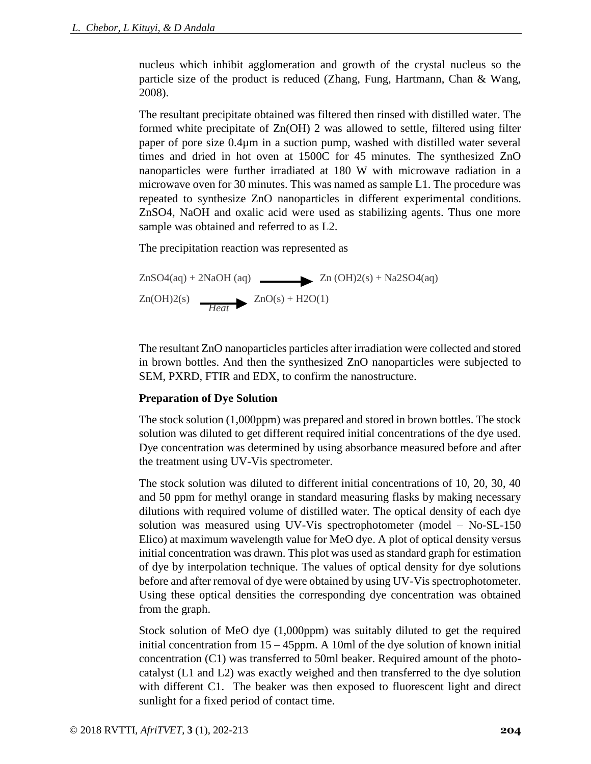nucleus which inhibit agglomeration and growth of the crystal nucleus so the particle size of the product is reduced (Zhang, Fung, Hartmann, Chan & Wang, 2008).

The resultant precipitate obtained was filtered then rinsed with distilled water. The formed white precipitate of Zn(OH) 2 was allowed to settle, filtered using filter paper of pore size 0.4µm in a suction pump, washed with distilled water several times and dried in hot oven at 1500C for 45 minutes. The synthesized ZnO nanoparticles were further irradiated at 180 W with microwave radiation in a microwave oven for 30 minutes. This was named as sample L1. The procedure was repeated to synthesize ZnO nanoparticles in different experimental conditions. ZnSO4, NaOH and oxalic acid were used as stabilizing agents. Thus one more sample was obtained and referred to as L2.

The precipitation reaction was represented as

$$
ZnSO4(aq) + 2NaOH(aq)
$$
  
\n
$$
Zn(OH)2(s) + Na2SO4(aq)
$$
  
\n
$$
Zn(OH)2(s) + H2O(1)
$$

The resultant ZnO nanoparticles particles after irradiation were collected and stored in brown bottles. And then the synthesized ZnO nanoparticles were subjected to SEM, PXRD, FTIR and EDX, to confirm the nanostructure.

## **Preparation of Dye Solution**

The stock solution (1,000ppm) was prepared and stored in brown bottles. The stock solution was diluted to get different required initial concentrations of the dye used. Dye concentration was determined by using absorbance measured before and after the treatment using UV-Vis spectrometer.

The stock solution was diluted to different initial concentrations of 10, 20, 30, 40 and 50 ppm for methyl orange in standard measuring flasks by making necessary dilutions with required volume of distilled water. The optical density of each dye solution was measured using UV-Vis spectrophotometer (model – No-SL-150 Elico) at maximum wavelength value for MeO dye. A plot of optical density versus initial concentration was drawn. This plot was used as standard graph for estimation of dye by interpolation technique. The values of optical density for dye solutions before and after removal of dye were obtained by using UV-Vis spectrophotometer. Using these optical densities the corresponding dye concentration was obtained from the graph.

Stock solution of MeO dye (1,000ppm) was suitably diluted to get the required initial concentration from  $15 - 45$ ppm. A 10ml of the dye solution of known initial concentration (C1) was transferred to 50ml beaker. Required amount of the photocatalyst (L1 and L2) was exactly weighed and then transferred to the dye solution with different C1. The beaker was then exposed to fluorescent light and direct sunlight for a fixed period of contact time.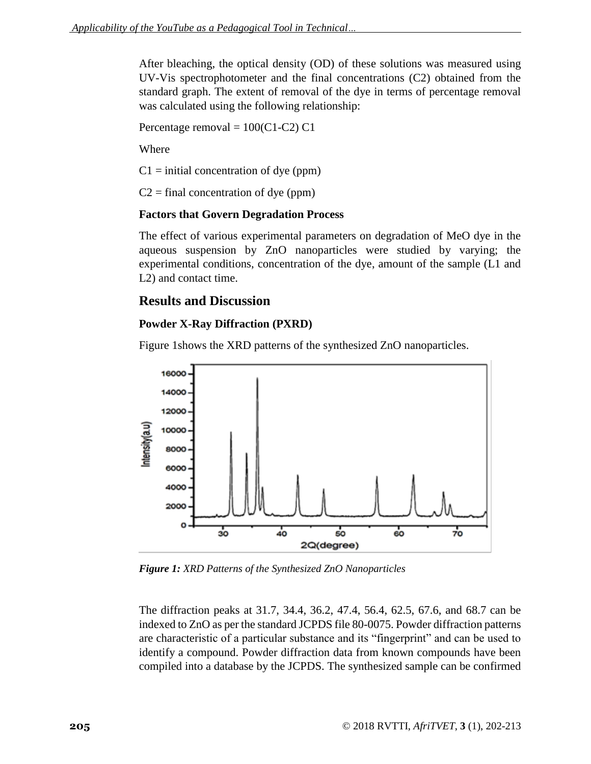After bleaching, the optical density (OD) of these solutions was measured using UV-Vis spectrophotometer and the final concentrations (C2) obtained from the standard graph. The extent of removal of the dye in terms of percentage removal was calculated using the following relationship:

Percentage removal =  $100(C1-C2)$  C1

Where

 $C1 =$  initial concentration of dye (ppm)

 $C2 = final concentration of dye (ppm)$ 

### **Factors that Govern Degradation Process**

The effect of various experimental parameters on degradation of MeO dye in the aqueous suspension by ZnO nanoparticles were studied by varying; the experimental conditions, concentration of the dye, amount of the sample (L1 and L2) and contact time.

## **Results and Discussion**

### **Powder X-Ray Diffraction (PXRD)**

Figure 1shows the XRD patterns of the synthesized ZnO nanoparticles.



*Figure 1: XRD Patterns of the Synthesized ZnO Nanoparticles*

The diffraction peaks at 31.7, 34.4, 36.2, 47.4, 56.4, 62.5, 67.6, and 68.7 can be indexed to ZnO as per the standard JCPDS file 80-0075. Powder diffraction patterns are characteristic of a particular substance and its "fingerprint" and can be used to identify a compound. Powder diffraction data from known compounds have been compiled into a database by the JCPDS. The synthesized sample can be confirmed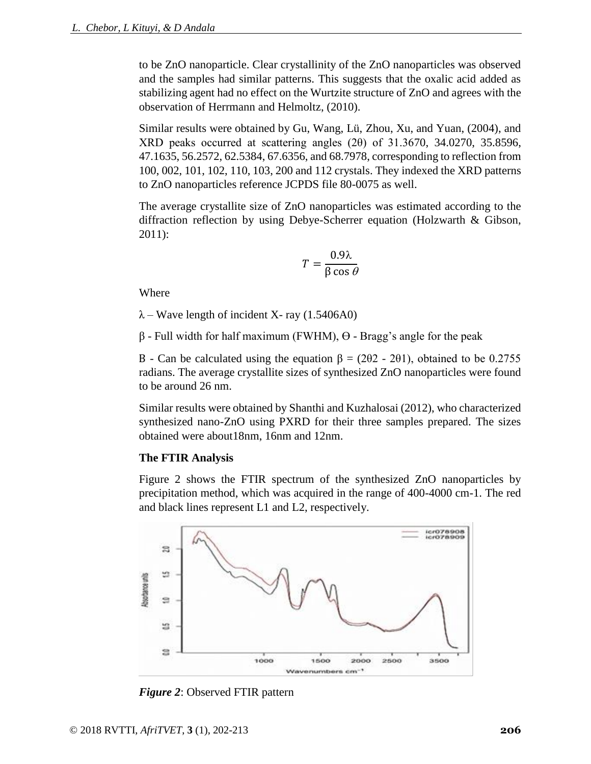to be ZnO nanoparticle. Clear crystallinity of the ZnO nanoparticles was observed and the samples had similar patterns. This suggests that the oxalic acid added as stabilizing agent had no effect on the Wurtzite structure of ZnO and agrees with the observation of Herrmann and Helmoltz, (2010).

Similar results were obtained by Gu, Wang, Lü, Zhou, Xu, and Yuan, (2004), and XRD peaks occurred at scattering angles (2θ) of 31.3670, 34.0270, 35.8596, 47.1635, 56.2572, 62.5384, 67.6356, and 68.7978, corresponding to reflection from 100, 002, 101, 102, 110, 103, 200 and 112 crystals. They indexed the XRD patterns to ZnO nanoparticles reference JCPDS file 80-0075 as well.

The average crystallite size of ZnO nanoparticles was estimated according to the diffraction reflection by using Debye-Scherrer equation (Holzwarth & Gibson, 2011):

$$
T = \frac{0.9\lambda}{\beta \cos \theta}
$$

Where

 $\lambda$  – Wave length of incident X- ray (1.5406A0)

β - Full width for half maximum (FWHM), Ө - Bragg's angle for the peak

B - Can be calculated using the equation  $β = (2θ2 - 2θ1)$ , obtained to be 0.2755 radians. The average crystallite sizes of synthesized ZnO nanoparticles were found to be around 26 nm.

Similar results were obtained by Shanthi and Kuzhalosai (2012), who characterized synthesized nano-ZnO using PXRD for their three samples prepared. The sizes obtained were about18nm, 16nm and 12nm.

#### **The FTIR Analysis**

Figure 2 shows the FTIR spectrum of the synthesized ZnO nanoparticles by precipitation method, which was acquired in the range of 400-4000 cm-1. The red and black lines represent L1 and L2, respectively.



*Figure 2*: Observed FTIR pattern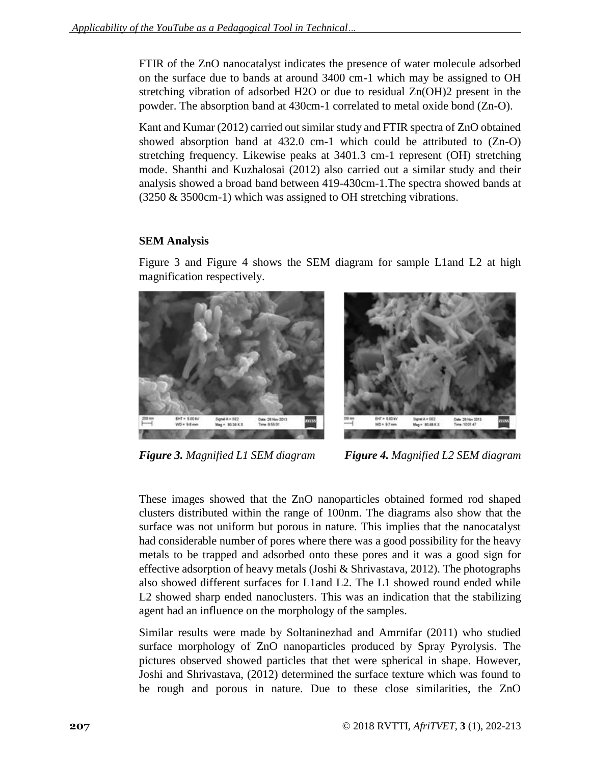FTIR of the ZnO nanocatalyst indicates the presence of water molecule adsorbed on the surface due to bands at around 3400 cm-1 which may be assigned to OH stretching vibration of adsorbed H2O or due to residual Zn(OH)2 present in the powder. The absorption band at 430cm-1 correlated to metal oxide bond (Zn-O).

Kant and Kumar (2012) carried out similar study and FTIR spectra of ZnO obtained showed absorption band at 432.0 cm-1 which could be attributed to (Zn-O) stretching frequency. Likewise peaks at 3401.3 cm-1 represent (OH) stretching mode. Shanthi and Kuzhalosai (2012) also carried out a similar study and their analysis showed a broad band between 419-430cm-1.The spectra showed bands at (3250 & 3500cm-1) which was assigned to OH stretching vibrations.

### **SEM Analysis**

Figure 3 and Figure 4 shows the SEM diagram for sample L1and L2 at high magnification respectively.



*Figure 3. Magnified L1 SEM diagram Figure 4. Magnified L2 SEM diagram*

These images showed that the ZnO nanoparticles obtained formed rod shaped clusters distributed within the range of 100nm. The diagrams also show that the surface was not uniform but porous in nature. This implies that the nanocatalyst had considerable number of pores where there was a good possibility for the heavy metals to be trapped and adsorbed onto these pores and it was a good sign for effective adsorption of heavy metals (Joshi & Shrivastava, 2012). The photographs also showed different surfaces for L1and L2. The L1 showed round ended while L2 showed sharp ended nanoclusters. This was an indication that the stabilizing agent had an influence on the morphology of the samples.

Similar results were made by Soltaninezhad and Amrnifar (2011) who studied surface morphology of ZnO nanoparticles produced by Spray Pyrolysis. The pictures observed showed particles that thet were spherical in shape. However, Joshi and Shrivastava, (2012) determined the surface texture which was found to be rough and porous in nature. Due to these close similarities, the ZnO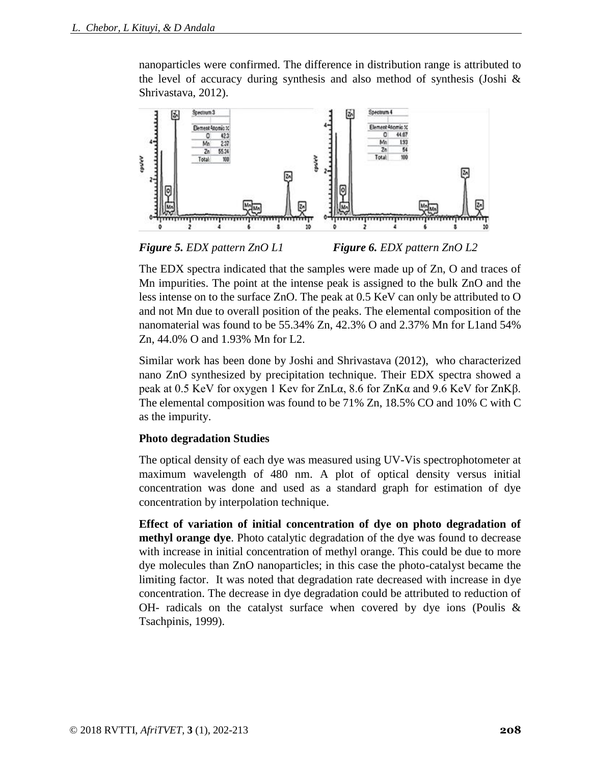nanoparticles were confirmed. The difference in distribution range is attributed to the level of accuracy during synthesis and also method of synthesis (Joshi & Shrivastava, 2012).



*Figure 5. EDX pattern ZnO L1 Figure 6. EDX pattern ZnO L2*

The EDX spectra indicated that the samples were made up of Zn, O and traces of Mn impurities. The point at the intense peak is assigned to the bulk ZnO and the less intense on to the surface ZnO. The peak at 0.5 KeV can only be attributed to O and not Mn due to overall position of the peaks. The elemental composition of the nanomaterial was found to be 55.34% Zn, 42.3% O and 2.37% Mn for L1and 54% Zn, 44.0% O and 1.93% Mn for L2.

Similar work has been done by Joshi and Shrivastava (2012), who characterized nano ZnO synthesized by precipitation technique. Their EDX spectra showed a peak at 0.5 KeV for oxygen 1 Kev for ZnLα, 8.6 for ZnKα and 9.6 KeV for ZnKβ. The elemental composition was found to be 71% Zn, 18.5% CO and 10% C with C as the impurity.

#### **Photo degradation Studies**

The optical density of each dye was measured using UV-Vis spectrophotometer at maximum wavelength of 480 nm. A plot of optical density versus initial concentration was done and used as a standard graph for estimation of dye concentration by interpolation technique.

**Effect of variation of initial concentration of dye on photo degradation of methyl orange dye**. Photo catalytic degradation of the dye was found to decrease with increase in initial concentration of methyl orange. This could be due to more dye molecules than ZnO nanoparticles; in this case the photo-catalyst became the limiting factor. It was noted that degradation rate decreased with increase in dye concentration. The decrease in dye degradation could be attributed to reduction of OH- radicals on the catalyst surface when covered by dye ions (Poulis  $\&$ Tsachpinis, 1999).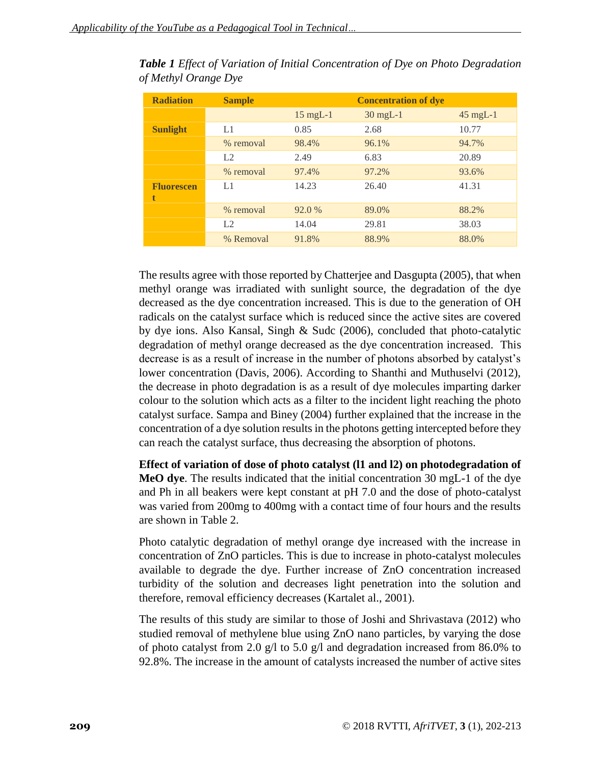| <b>Radiation</b>       | <b>Sample</b> | <b>Concentration of dye</b> |            |            |  |
|------------------------|---------------|-----------------------------|------------|------------|--|
|                        |               | $15$ mgL-1                  | $30$ mgL-1 | $45$ mgL-1 |  |
| <b>Sunlight</b>        | L1            | 0.85                        | 2.68       | 10.77      |  |
|                        | % removal     | 98.4%                       | 96.1%      | 94.7%      |  |
|                        | L2            | 2.49                        | 6.83       | 20.89      |  |
|                        | % removal     | 97.4%                       | 97.2%      | 93.6%      |  |
| <b>Fluorescen</b><br>t | L1            | 14.23                       | 26.40      | 41.31      |  |
|                        | % removal     | 92.0 %                      | 89.0%      | 88.2%      |  |
|                        | L2            | 14.04                       | 29.81      | 38.03      |  |
|                        | % Removal     | 91.8%                       | 88.9%      | 88.0%      |  |

*Table 1 Effect of Variation of Initial Concentration of Dye on Photo Degradation of Methyl Orange Dye*

The results agree with those reported by Chatterjee and Dasgupta (2005), that when methyl orange was irradiated with sunlight source, the degradation of the dye decreased as the dye concentration increased. This is due to the generation of OH radicals on the catalyst surface which is reduced since the active sites are covered by dye ions. Also Kansal, Singh & Sudc (2006), concluded that photo-catalytic degradation of methyl orange decreased as the dye concentration increased. This decrease is as a result of increase in the number of photons absorbed by catalyst's lower concentration (Davis, 2006). According to Shanthi and Muthuselvi (2012), the decrease in photo degradation is as a result of dye molecules imparting darker colour to the solution which acts as a filter to the incident light reaching the photo catalyst surface. Sampa and Biney (2004) further explained that the increase in the concentration of a dye solution results in the photons getting intercepted before they can reach the catalyst surface, thus decreasing the absorption of photons.

**Effect of variation of dose of photo catalyst (l1 and l2) on photodegradation of MeO dye**. The results indicated that the initial concentration 30 mgL-1 of the dye and Ph in all beakers were kept constant at pH 7.0 and the dose of photo-catalyst was varied from 200mg to 400mg with a contact time of four hours and the results are shown in Table 2.

Photo catalytic degradation of methyl orange dye increased with the increase in concentration of ZnO particles. This is due to increase in photo-catalyst molecules available to degrade the dye. Further increase of ZnO concentration increased turbidity of the solution and decreases light penetration into the solution and therefore, removal efficiency decreases (Kartalet al., 2001).

The results of this study are similar to those of Joshi and Shrivastava (2012) who studied removal of methylene blue using ZnO nano particles, by varying the dose of photo catalyst from 2.0 g/l to 5.0 g/l and degradation increased from 86.0% to 92.8%. The increase in the amount of catalysts increased the number of active sites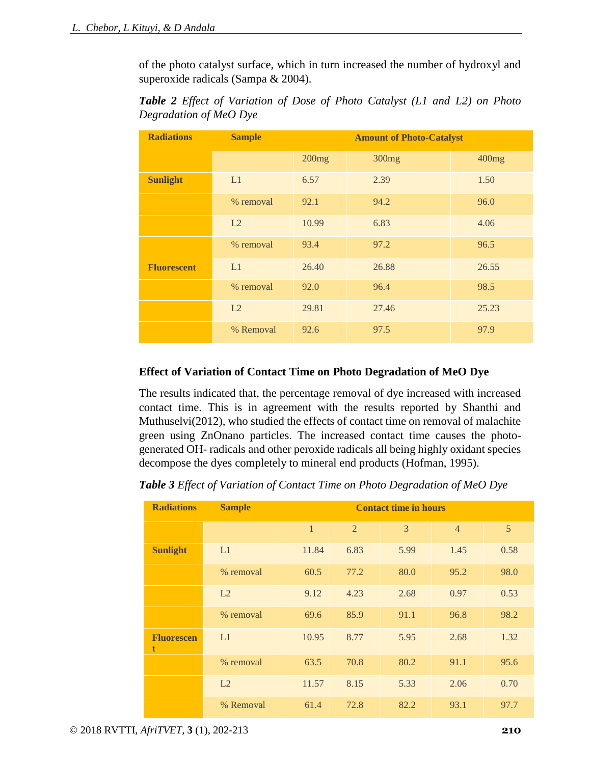of the photo catalyst surface, which in turn increased the number of hydroxyl and superoxide radicals (Sampa & 2004).

| <b>Radiations</b>  | <b>Sample</b> | <b>Amount of Photo-Catalyst</b> |                   |       |  |
|--------------------|---------------|---------------------------------|-------------------|-------|--|
|                    |               | 200mg                           | 300 <sub>mg</sub> | 400mg |  |
| <b>Sunlight</b>    | L1            | 6.57                            | 2.39              | 1.50  |  |
|                    | % removal     | 92.1                            | 94.2              | 96.0  |  |
|                    | L2            | 10.99                           | 6.83              | 4.06  |  |
|                    | % removal     | 93.4                            | 97.2              | 96.5  |  |
| <b>Fluorescent</b> | L1            | 26.40                           | 26.88             | 26.55 |  |
|                    | % removal     | 92.0                            | 96.4              | 98.5  |  |
|                    | L2            | 29.81                           | 27.46             | 25.23 |  |
|                    | % Removal     | 92.6                            | 97.5              | 97.9  |  |

*Table 2 Effect of Variation of Dose of Photo Catalyst (L1 and L2) on Photo Degradation of MeO Dye*

## **Effect of Variation of Contact Time on Photo Degradation of MeO Dye**

The results indicated that, the percentage removal of dye increased with increased contact time. This is in agreement with the results reported by Shanthi and Muthuselvi(2012), who studied the effects of contact time on removal of malachite green using ZnOnano particles. The increased contact time causes the photogenerated OH- radicals and other peroxide radicals all being highly oxidant species decompose the dyes completely to mineral end products (Hofman, 1995).

*Table 3 Effect of Variation of Contact Time on Photo Degradation of MeO Dye*

| <b>Radiations</b>      | <b>Sample</b> | <b>Contact time in hours</b> |                |                |                |      |  |
|------------------------|---------------|------------------------------|----------------|----------------|----------------|------|--|
|                        |               | $\mathbf{1}$                 | $\overline{2}$ | $\overline{3}$ | $\overline{4}$ | 5    |  |
| <b>Sunlight</b>        | L1            | 11.84                        | 6.83           | 5.99           | 1.45           | 0.58 |  |
|                        | % removal     | 60.5                         | 77.2           | 80.0           | 95.2           | 98.0 |  |
|                        | L2            | 9.12                         | 4.23           | 2.68           | 0.97           | 0.53 |  |
|                        | % removal     | 69.6                         | 85.9           | 91.1           | 96.8           | 98.2 |  |
| <b>Fluorescen</b><br>t | L1            | 10.95                        | 8.77           | 5.95           | 2.68           | 1.32 |  |
|                        | % removal     | 63.5                         | 70.8           | 80.2           | 91.1           | 95.6 |  |
|                        | L2            | 11.57                        | 8.15           | 5.33           | 2.06           | 0.70 |  |
|                        | % Removal     | 61.4                         | 72.8           | 82.2           | 93.1           | 97.7 |  |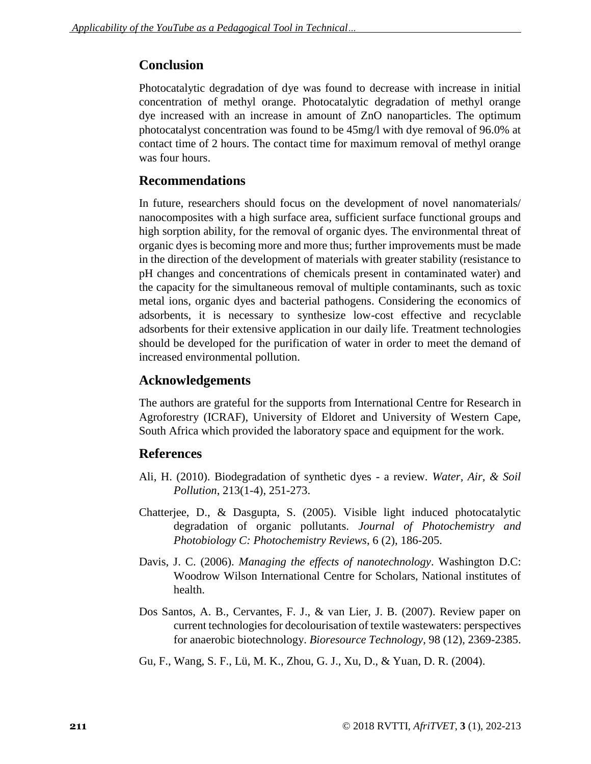# **Conclusion**

Photocatalytic degradation of dye was found to decrease with increase in initial concentration of methyl orange. Photocatalytic degradation of methyl orange dye increased with an increase in amount of ZnO nanoparticles. The optimum photocatalyst concentration was found to be 45mg/l with dye removal of 96.0% at contact time of 2 hours. The contact time for maximum removal of methyl orange was four hours.

## **Recommendations**

In future, researchers should focus on the development of novel nanomaterials/ nanocomposites with a high surface area, sufficient surface functional groups and high sorption ability, for the removal of organic dyes. The environmental threat of organic dyes is becoming more and more thus; further improvements must be made in the direction of the development of materials with greater stability (resistance to pH changes and concentrations of chemicals present in contaminated water) and the capacity for the simultaneous removal of multiple contaminants, such as toxic metal ions, organic dyes and bacterial pathogens. Considering the economics of adsorbents, it is necessary to synthesize low-cost effective and recyclable adsorbents for their extensive application in our daily life. Treatment technologies should be developed for the purification of water in order to meet the demand of increased environmental pollution.

## **Acknowledgements**

The authors are grateful for the supports from International Centre for Research in Agroforestry (ICRAF), University of Eldoret and University of Western Cape, South Africa which provided the laboratory space and equipment for the work.

## **References**

- Ali, H. (2010). Biodegradation of synthetic dyes a review. *Water, Air, & Soil Pollution*, 213(1-4), 251-273.
- Chatterjee, D., & Dasgupta, S. (2005). Visible light induced photocatalytic degradation of organic pollutants. *Journal of Photochemistry and Photobiology C: Photochemistry Reviews*, 6 (2), 186-205.
- Davis, J. C. (2006). *Managing the effects of nanotechnology*. Washington D.C: Woodrow Wilson International Centre for Scholars, National institutes of health.
- Dos Santos, A. B., Cervantes, F. J., & van Lier, J. B. (2007). Review paper on current technologies for decolourisation of textile wastewaters: perspectives for anaerobic biotechnology. *Bioresource Technology*, 98 (12), 2369-2385.
- Gu, F., Wang, S. F., Lü, M. K., Zhou, G. J., Xu, D., & Yuan, D. R. (2004).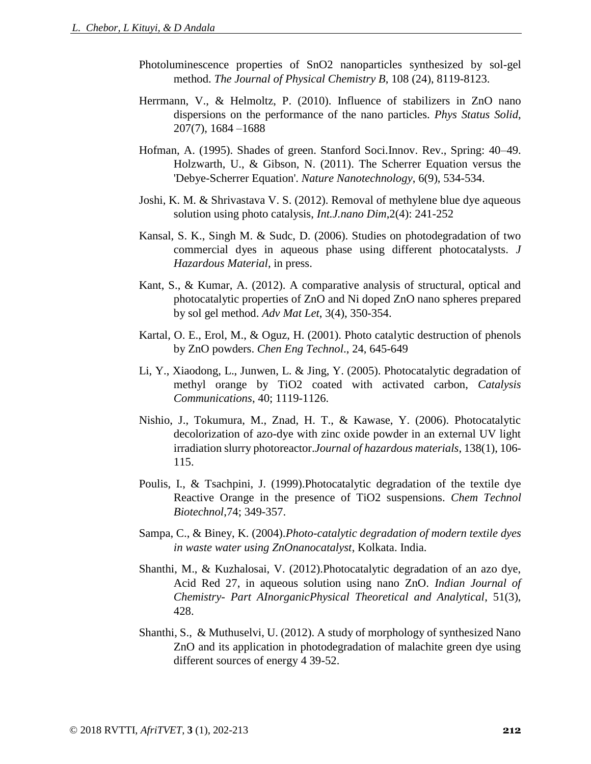- Photoluminescence properties of SnO2 nanoparticles synthesized by sol-gel method. *The Journal of Physical Chemistry B*, 108 (24), 8119-8123.
- Herrmann, V., & Helmoltz, P. (2010). Influence of stabilizers in ZnO nano dispersions on the performance of the nano particles. *Phys Status Solid*, 207(7), 1684 –1688
- Hofman, A. (1995). Shades of green. Stanford Soci.Innov. Rev., Spring: 40–49. Holzwarth, U., & Gibson, N. (2011). The Scherrer Equation versus the 'Debye-Scherrer Equation'. *Nature Nanotechnology*, 6(9), 534-534.
- Joshi, K. M. & Shrivastava V. S. (2012). Removal of methylene blue dye aqueous solution using photo catalysis, *Int.J.nano Dim*,2(4): 241-252
- Kansal, S. K., Singh M. & Sudc, D. (2006). Studies on photodegradation of two commercial dyes in aqueous phase using different photocatalysts. *J Hazardous Material*, in press.
- Kant, S., & Kumar, A. (2012). A comparative analysis of structural, optical and photocatalytic properties of ZnO and Ni doped ZnO nano spheres prepared by sol gel method. *Adv Mat Let*, 3(4), 350-354.
- Kartal, O. E., Erol, M., & Oguz, H. (2001). Photo catalytic destruction of phenols by ZnO powders. *Chen Eng Technol*., 24, 645-649
- Li, Y., Xiaodong, L., Junwen, L. & Jing, Y. (2005). Photocatalytic degradation of methyl orange by TiO2 coated with activated carbon, *Catalysis Communications*, 40; 1119-1126.
- Nishio, J., Tokumura, M., Znad, H. T., & Kawase, Y. (2006). Photocatalytic decolorization of azo-dye with zinc oxide powder in an external UV light irradiation slurry photoreactor.*Journal of hazardous materials*, 138(1), 106- 115.
- Poulis, I., & Tsachpini, J. (1999).Photocatalytic degradation of the textile dye Reactive Orange in the presence of TiO2 suspensions. *Chem Technol Biotechnol*,74; 349-357.
- Sampa, C., & Biney, K. (2004).*Photo-catalytic degradation of modern textile dyes in waste water using ZnOnanocatalyst*, Kolkata. India.
- Shanthi, M., & Kuzhalosai, V. (2012).Photocatalytic degradation of an azo dye, Acid Red 27, in aqueous solution using nano ZnO. *Indian Journal of Chemistry- Part AInorganicPhysical Theoretical and Analytical*, 51(3), 428.
- Shanthi, S., & Muthuselvi, U. (2012). A study of morphology of synthesized Nano ZnO and its application in photodegradation of malachite green dye using different sources of energy 4 39-52.